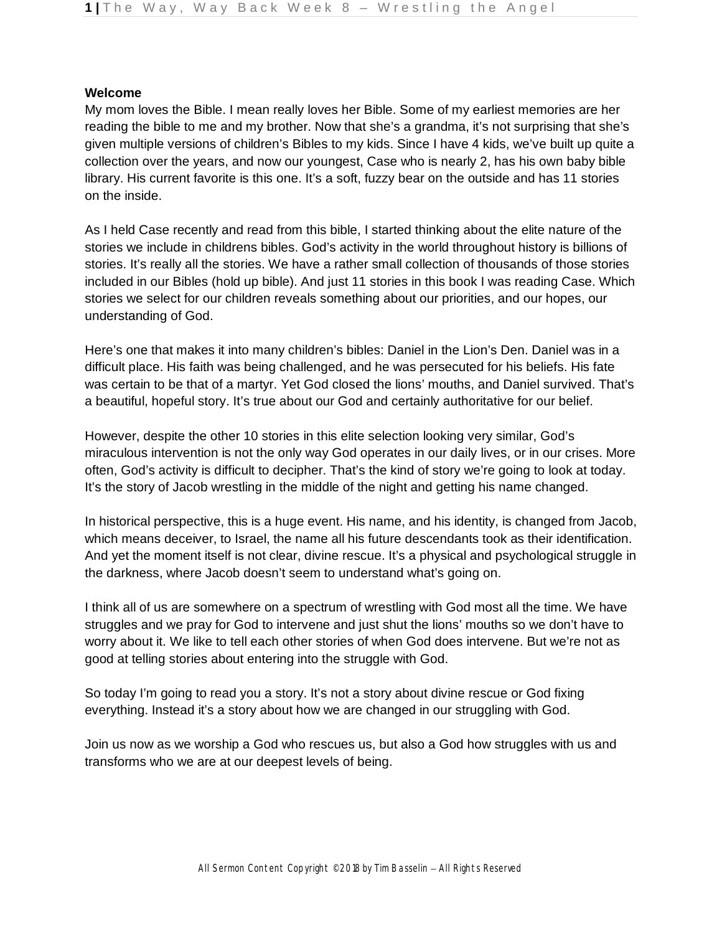# **Welcome**

My mom loves the Bible. I mean really loves her Bible. Some of my earliest memories are her reading the bible to me and my brother. Now that she's a grandma, it's not surprising that she's given multiple versions of children's Bibles to my kids. Since I have 4 kids, we've built up quite a collection over the years, and now our youngest, Case who is nearly 2, has his own baby bible library. His current favorite is this one. It's a soft, fuzzy bear on the outside and has 11 stories on the inside.

As I held Case recently and read from this bible, I started thinking about the elite nature of the stories we include in childrens bibles. God's activity in the world throughout history is billions of stories. It's really all the stories. We have a rather small collection of thousands of those stories included in our Bibles (hold up bible). And just 11 stories in this book I was reading Case. Which stories we select for our children reveals something about our priorities, and our hopes, our understanding of God.

Here's one that makes it into many children's bibles: Daniel in the Lion's Den. Daniel was in a difficult place. His faith was being challenged, and he was persecuted for his beliefs. His fate was certain to be that of a martyr. Yet God closed the lions' mouths, and Daniel survived. That's a beautiful, hopeful story. It's true about our God and certainly authoritative for our belief.

However, despite the other 10 stories in this elite selection looking very similar, God's miraculous intervention is not the only way God operates in our daily lives, or in our crises. More often, God's activity is difficult to decipher. That's the kind of story we're going to look at today. It's the story of Jacob wrestling in the middle of the night and getting his name changed.

In historical perspective, this is a huge event. His name, and his identity, is changed from Jacob, which means deceiver, to Israel, the name all his future descendants took as their identification. And yet the moment itself is not clear, divine rescue. It's a physical and psychological struggle in the darkness, where Jacob doesn't seem to understand what's going on.

I think all of us are somewhere on a spectrum of wrestling with God most all the time. We have struggles and we pray for God to intervene and just shut the lions' mouths so we don't have to worry about it. We like to tell each other stories of when God does intervene. But we're not as good at telling stories about entering into the struggle with God.

So today I'm going to read you a story. It's not a story about divine rescue or God fixing everything. Instead it's a story about how we are changed in our struggling with God.

Join us now as we worship a God who rescues us, but also a God how struggles with us and transforms who we are at our deepest levels of being.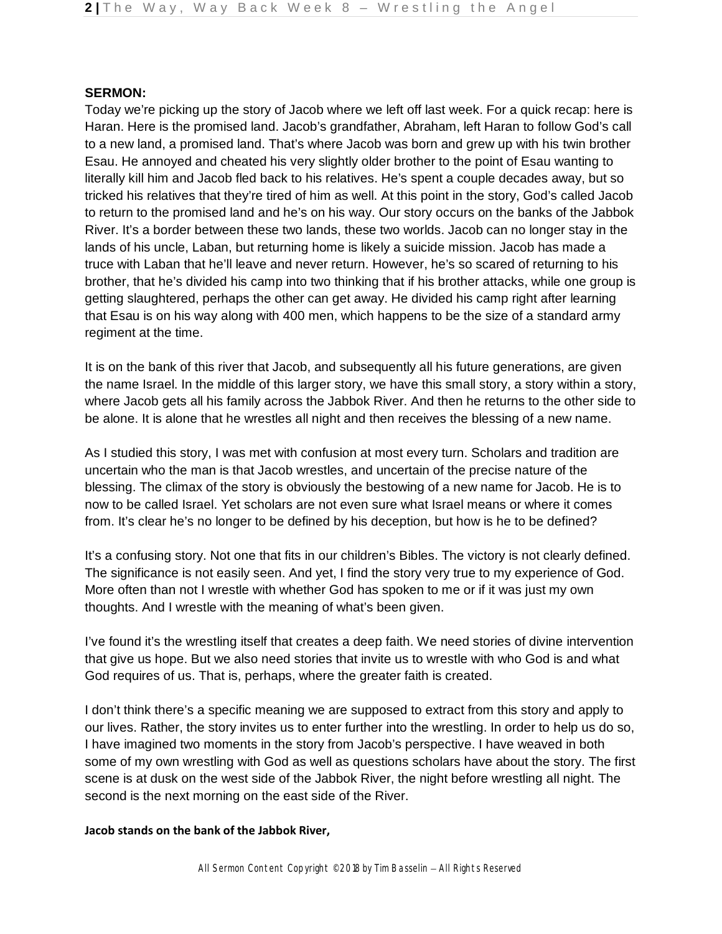### **SERMON:**

Today we're picking up the story of Jacob where we left off last week. For a quick recap: here is Haran. Here is the promised land. Jacob's grandfather, Abraham, left Haran to follow God's call to a new land, a promised land. That's where Jacob was born and grew up with his twin brother Esau. He annoyed and cheated his very slightly older brother to the point of Esau wanting to literally kill him and Jacob fled back to his relatives. He's spent a couple decades away, but so tricked his relatives that they're tired of him as well. At this point in the story, God's called Jacob to return to the promised land and he's on his way. Our story occurs on the banks of the Jabbok River. It's a border between these two lands, these two worlds. Jacob can no longer stay in the lands of his uncle, Laban, but returning home is likely a suicide mission. Jacob has made a truce with Laban that he'll leave and never return. However, he's so scared of returning to his brother, that he's divided his camp into two thinking that if his brother attacks, while one group is getting slaughtered, perhaps the other can get away. He divided his camp right after learning that Esau is on his way along with 400 men, which happens to be the size of a standard army regiment at the time.

It is on the bank of this river that Jacob, and subsequently all his future generations, are given the name Israel. In the middle of this larger story, we have this small story, a story within a story, where Jacob gets all his family across the Jabbok River. And then he returns to the other side to be alone. It is alone that he wrestles all night and then receives the blessing of a new name.

As I studied this story, I was met with confusion at most every turn. Scholars and tradition are uncertain who the man is that Jacob wrestles, and uncertain of the precise nature of the blessing. The climax of the story is obviously the bestowing of a new name for Jacob. He is to now to be called Israel. Yet scholars are not even sure what Israel means or where it comes from. It's clear he's no longer to be defined by his deception, but how is he to be defined?

It's a confusing story. Not one that fits in our children's Bibles. The victory is not clearly defined. The significance is not easily seen. And yet, I find the story very true to my experience of God. More often than not I wrestle with whether God has spoken to me or if it was just my own thoughts. And I wrestle with the meaning of what's been given.

I've found it's the wrestling itself that creates a deep faith. We need stories of divine intervention that give us hope. But we also need stories that invite us to wrestle with who God is and what God requires of us. That is, perhaps, where the greater faith is created.

I don't think there's a specific meaning we are supposed to extract from this story and apply to our lives. Rather, the story invites us to enter further into the wrestling. In order to help us do so, I have imagined two moments in the story from Jacob's perspective. I have weaved in both some of my own wrestling with God as well as questions scholars have about the story. The first scene is at dusk on the west side of the Jabbok River, the night before wrestling all night. The second is the next morning on the east side of the River.

## **Jacob stands on the bank of the Jabbok River,**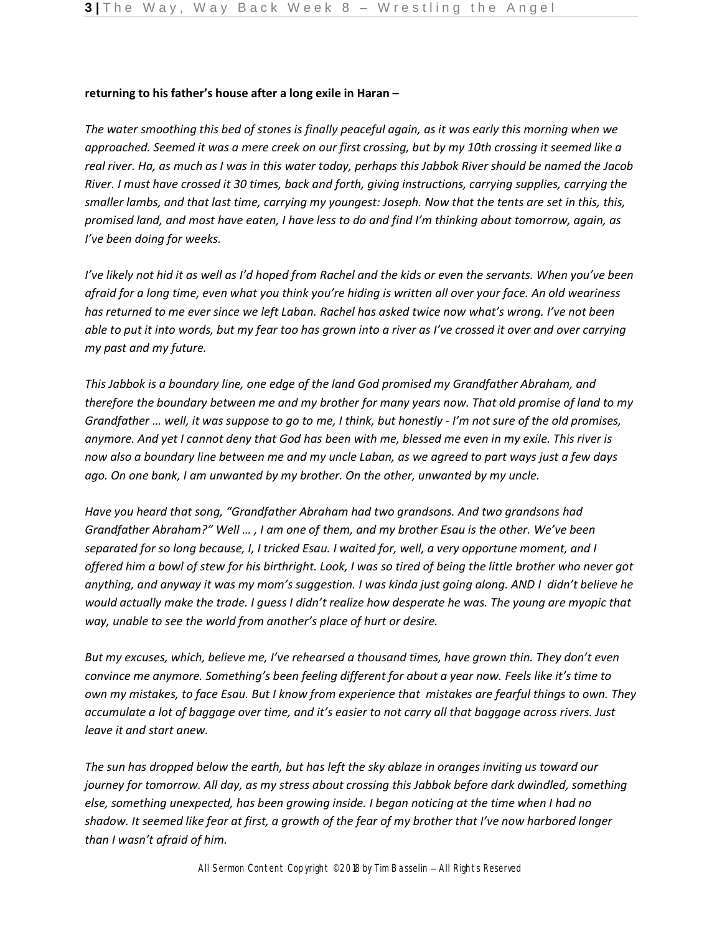## **returning to his father's house after a long exile in Haran –**

*The water smoothing this bed of stones is finally peaceful again, as it was early this morning when we approached. Seemed it was a mere creek on our first crossing, but by my 10th crossing it seemed like a real river. Ha, as much as I was in this water today, perhaps this Jabbok River should be named the Jacob River. I must have crossed it 30 times, back and forth, giving instructions, carrying supplies, carrying the smaller lambs, and that last time, carrying my youngest: Joseph. Now that the tents are set in this, this, promised land, and most have eaten, I have less to do and find I'm thinking about tomorrow, again, as I've been doing for weeks.* 

*I've likely not hid it as well as I'd hoped from Rachel and the kids or even the servants. When you've been afraid for a long time, even what you think you're hiding is written all over your face. An old weariness has returned to me ever since we left Laban. Rachel has asked twice now what's wrong. I've not been able to put it into words, but my fear too has grown into a river as I've crossed it over and over carrying my past and my future.*

*This Jabbok is a boundary line, one edge of the land God promised my Grandfather Abraham, and therefore the boundary between me and my brother for many years now. That old promise of land to my Grandfather … well, it was suppose to go to me, I think, but honestly - I'm not sure of the old promises, anymore. And yet I cannot deny that God has been with me, blessed me even in my exile. This river is now also a boundary line between me and my uncle Laban, as we agreed to part ways just a few days ago. On one bank, I am unwanted by my brother. On the other, unwanted by my uncle.* 

*Have you heard that song, "Grandfather Abraham had two grandsons. And two grandsons had Grandfather Abraham?" Well … , I am one of them, and my brother Esau is the other. We've been separated for so long because, I, I tricked Esau. I waited for, well, a very opportune moment, and I offered him a bowl of stew for his birthright. Look, I was so tired of being the little brother who never got anything, and anyway it was my mom's suggestion. I was kinda just going along. AND I didn't believe he would actually make the trade. I guess I didn't realize how desperate he was. The young are myopic that way, unable to see the world from another's place of hurt or desire.* 

*But my excuses, which, believe me, I've rehearsed a thousand times, have grown thin. They don't even convince me anymore. Something's been feeling different for about a year now. Feels like it's time to own my mistakes, to face Esau. But I know from experience that mistakes are fearful things to own. They accumulate a lot of baggage over time, and it's easier to not carry all that baggage across rivers. Just leave it and start anew.*

*The sun has dropped below the earth, but has left the sky ablaze in oranges inviting us toward our journey for tomorrow. All day, as my stress about crossing this Jabbok before dark dwindled, something else, something unexpected, has been growing inside. I began noticing at the time when I had no shadow. It seemed like fear at first, a growth of the fear of my brother that I've now harbored longer than I wasn't afraid of him.*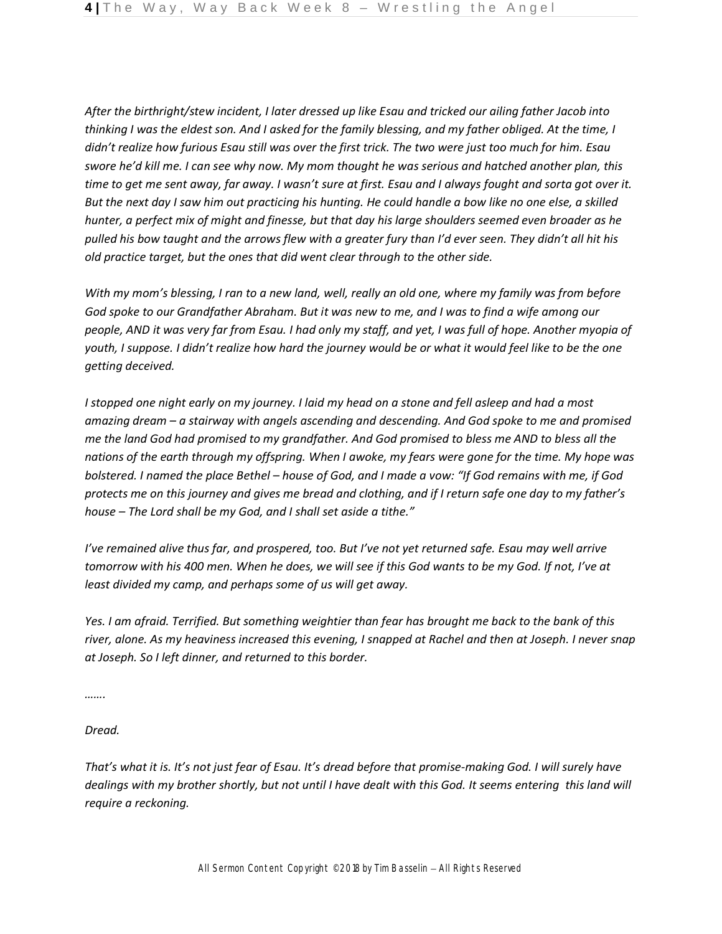*After the birthright/stew incident, I later dressed up like Esau and tricked our ailing father Jacob into thinking I was the eldest son. And I asked for the family blessing, and my father obliged. At the time, I didn't realize how furious Esau still was over the first trick. The two were just too much for him. Esau swore he'd kill me. I can see why now. My mom thought he was serious and hatched another plan, this time to get me sent away, far away. I wasn't sure at first. Esau and I always fought and sorta got over it. But the next day I saw him out practicing his hunting. He could handle a bow like no one else, a skilled hunter, a perfect mix of might and finesse, but that day his large shoulders seemed even broader as he pulled his bow taught and the arrows flew with a greater fury than I'd ever seen. They didn't all hit his old practice target, but the ones that did went clear through to the other side.*

*With my mom's blessing, I ran to a new land, well, really an old one, where my family was from before God spoke to our Grandfather Abraham. But it was new to me, and I was to find a wife among our people, AND it was very far from Esau. I had only my staff, and yet, I was full of hope. Another myopia of youth, I suppose. I didn't realize how hard the journey would be or what it would feel like to be the one getting deceived.*

*I stopped one night early on my journey. I laid my head on a stone and fell asleep and had a most amazing dream – a stairway with angels ascending and descending. And God spoke to me and promised me the land God had promised to my grandfather. And God promised to bless me AND to bless all the nations of the earth through my offspring. When I awoke, my fears were gone for the time. My hope was bolstered. I named the place Bethel – house of God, and I made a vow: "If God remains with me, if God protects me on this journey and gives me bread and clothing, and if I return safe one day to my father's house – The Lord shall be my God, and I shall set aside a tithe."*

*I've remained alive thus far, and prospered, too. But I've not yet returned safe. Esau may well arrive tomorrow with his 400 men. When he does, we will see if this God wants to be my God. If not, I've at least divided my camp, and perhaps some of us will get away.*

*Yes. I am afraid. Terrified. But something weightier than fear has brought me back to the bank of this river, alone. As my heaviness increased this evening, I snapped at Rachel and then at Joseph. I never snap at Joseph. So I left dinner, and returned to this border.*

*…….*

*Dread.* 

*That's what it is. It's not just fear of Esau. It's dread before that promise-making God. I will surely have dealings with my brother shortly, but not until I have dealt with this God. It seems entering this land will require a reckoning.*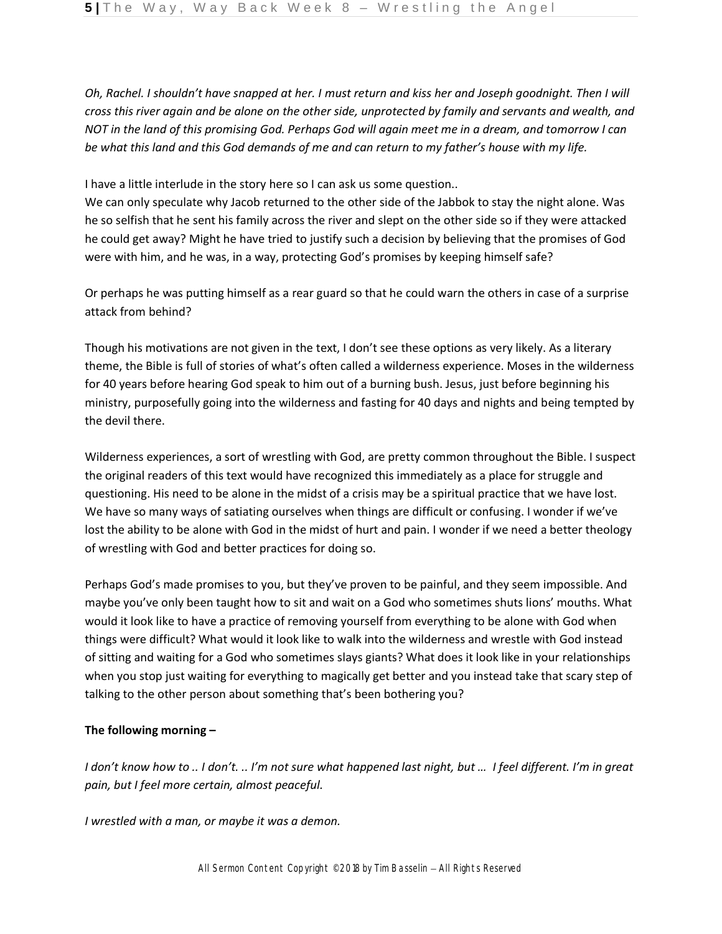*Oh, Rachel. I shouldn't have snapped at her. I must return and kiss her and Joseph goodnight. Then I will cross this river again and be alone on the other side, unprotected by family and servants and wealth, and NOT in the land of this promising God. Perhaps God will again meet me in a dream, and tomorrow I can be what this land and this God demands of me and can return to my father's house with my life.*

I have a little interlude in the story here so I can ask us some question..

We can only speculate why Jacob returned to the other side of the Jabbok to stay the night alone. Was he so selfish that he sent his family across the river and slept on the other side so if they were attacked he could get away? Might he have tried to justify such a decision by believing that the promises of God were with him, and he was, in a way, protecting God's promises by keeping himself safe?

Or perhaps he was putting himself as a rear guard so that he could warn the others in case of a surprise attack from behind?

Though his motivations are not given in the text, I don't see these options as very likely. As a literary theme, the Bible is full of stories of what's often called a wilderness experience. Moses in the wilderness for 40 years before hearing God speak to him out of a burning bush. Jesus, just before beginning his ministry, purposefully going into the wilderness and fasting for 40 days and nights and being tempted by the devil there.

Wilderness experiences, a sort of wrestling with God, are pretty common throughout the Bible. I suspect the original readers of this text would have recognized this immediately as a place for struggle and questioning. His need to be alone in the midst of a crisis may be a spiritual practice that we have lost. We have so many ways of satiating ourselves when things are difficult or confusing. I wonder if we've lost the ability to be alone with God in the midst of hurt and pain. I wonder if we need a better theology of wrestling with God and better practices for doing so.

Perhaps God's made promises to you, but they've proven to be painful, and they seem impossible. And maybe you've only been taught how to sit and wait on a God who sometimes shuts lions' mouths. What would it look like to have a practice of removing yourself from everything to be alone with God when things were difficult? What would it look like to walk into the wilderness and wrestle with God instead of sitting and waiting for a God who sometimes slays giants? What does it look like in your relationships when you stop just waiting for everything to magically get better and you instead take that scary step of talking to the other person about something that's been bothering you?

# **The following morning –**

*I don't know how to .. I don't. .. I'm not sure what happened last night, but … I feel different. I'm in great pain, but I feel more certain, almost peaceful.*

*I wrestled with a man, or maybe it was a demon.*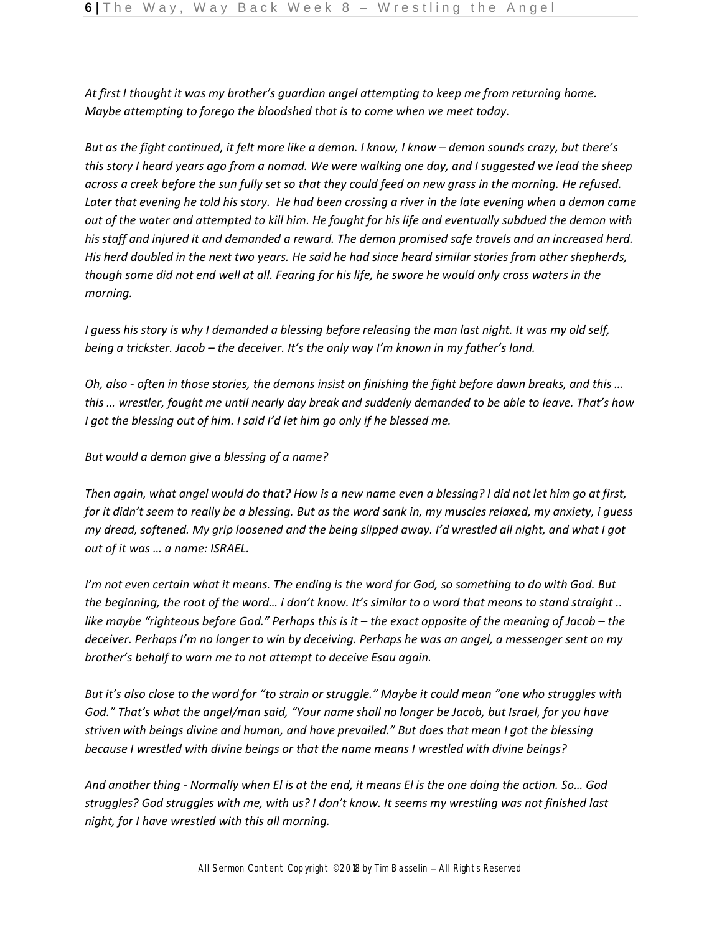*At first I thought it was my brother's guardian angel attempting to keep me from returning home. Maybe attempting to forego the bloodshed that is to come when we meet today.* 

*But as the fight continued, it felt more like a demon. I know, I know – demon sounds crazy, but there's this story I heard years ago from a nomad. We were walking one day, and I suggested we lead the sheep across a creek before the sun fully set so that they could feed on new grass in the morning. He refused. Later that evening he told his story. He had been crossing a river in the late evening when a demon came out of the water and attempted to kill him. He fought for his life and eventually subdued the demon with his staff and injured it and demanded a reward. The demon promised safe travels and an increased herd. His herd doubled in the next two years. He said he had since heard similar stories from other shepherds, though some did not end well at all. Fearing for his life, he swore he would only cross waters in the morning.*

*I quess his story is why I demanded a blessing before releasing the man last night. It was my old self, being a trickster. Jacob – the deceiver. It's the only way I'm known in my father's land.* 

*Oh, also - often in those stories, the demons insist on finishing the fight before dawn breaks, and this … this … wrestler, fought me until nearly day break and suddenly demanded to be able to leave. That's how I got the blessing out of him. I said I'd let him go only if he blessed me.* 

*But would a demon give a blessing of a name?* 

*Then again, what angel would do that? How is a new name even a blessing? I did not let him go at first, for it didn't seem to really be a blessing. But as the word sank in, my muscles relaxed, my anxiety, i guess my dread, softened. My grip loosened and the being slipped away. I'd wrestled all night, and what I got out of it was … a name: ISRAEL.* 

*I'm not even certain what it means. The ending is the word for God, so something to do with God. But the beginning, the root of the word… i don't know. It's similar to a word that means to stand straight .. like maybe "righteous before God." Perhaps this is it – the exact opposite of the meaning of Jacob – the deceiver. Perhaps I'm no longer to win by deceiving. Perhaps he was an angel, a messenger sent on my brother's behalf to warn me to not attempt to deceive Esau again.*

*But it's also close to the word for "to strain or struggle." Maybe it could mean "one who struggles with God." That's what the angel/man said, "Your name shall no longer be Jacob, but Israel, for you have striven with beings divine and human, and have prevailed." But does that mean I got the blessing because I wrestled with divine beings or that the name means I wrestled with divine beings?*

*And another thing - Normally when El is at the end, it means El is the one doing the action. So… God struggles? God struggles with me, with us? I don't know. It seems my wrestling was not finished last night, for I have wrestled with this all morning.*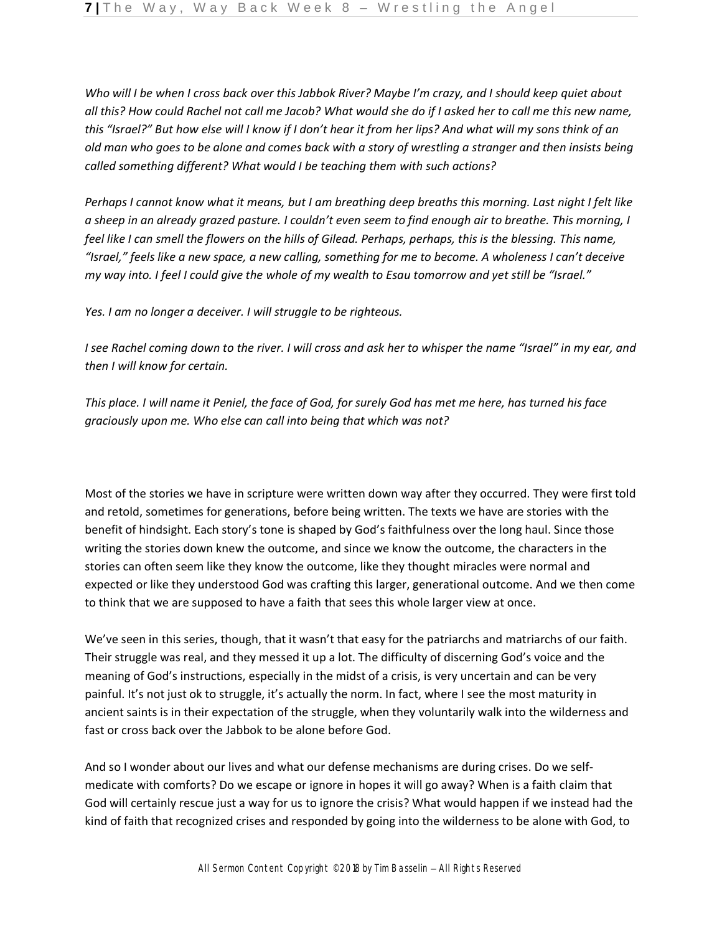*Who will I be when I cross back over this Jabbok River? Maybe I'm crazy, and I should keep quiet about all this? How could Rachel not call me Jacob? What would she do if I asked her to call me this new name, this "Israel?" But how else will I know if I don't hear it from her lips? And what will my sons think of an old man who goes to be alone and comes back with a story of wrestling a stranger and then insists being called something different? What would I be teaching them with such actions?*

*Perhaps I cannot know what it means, but I am breathing deep breaths this morning. Last night I felt like a sheep in an already grazed pasture. I couldn't even seem to find enough air to breathe. This morning, I feel like I can smell the flowers on the hills of Gilead. Perhaps, perhaps, this is the blessing. This name, "Israel," feels like a new space, a new calling, something for me to become. A wholeness I can't deceive my way into. I feel I could give the whole of my wealth to Esau tomorrow and yet still be "Israel."* 

*Yes. I am no longer a deceiver. I will struggle to be righteous.*

*I see Rachel coming down to the river. I will cross and ask her to whisper the name "Israel" in my ear, and then I will know for certain.* 

*This place. I will name it Peniel, the face of God, for surely God has met me here, has turned his face graciously upon me. Who else can call into being that which was not?*

Most of the stories we have in scripture were written down way after they occurred. They were first told and retold, sometimes for generations, before being written. The texts we have are stories with the benefit of hindsight. Each story's tone is shaped by God's faithfulness over the long haul. Since those writing the stories down knew the outcome, and since we know the outcome, the characters in the stories can often seem like they know the outcome, like they thought miracles were normal and expected or like they understood God was crafting this larger, generational outcome. And we then come to think that we are supposed to have a faith that sees this whole larger view at once.

We've seen in this series, though, that it wasn't that easy for the patriarchs and matriarchs of our faith. Their struggle was real, and they messed it up a lot. The difficulty of discerning God's voice and the meaning of God's instructions, especially in the midst of a crisis, is very uncertain and can be very painful. It's not just ok to struggle, it's actually the norm. In fact, where I see the most maturity in ancient saints is in their expectation of the struggle, when they voluntarily walk into the wilderness and fast or cross back over the Jabbok to be alone before God.

And so I wonder about our lives and what our defense mechanisms are during crises. Do we selfmedicate with comforts? Do we escape or ignore in hopes it will go away? When is a faith claim that God will certainly rescue just a way for us to ignore the crisis? What would happen if we instead had the kind of faith that recognized crises and responded by going into the wilderness to be alone with God, to